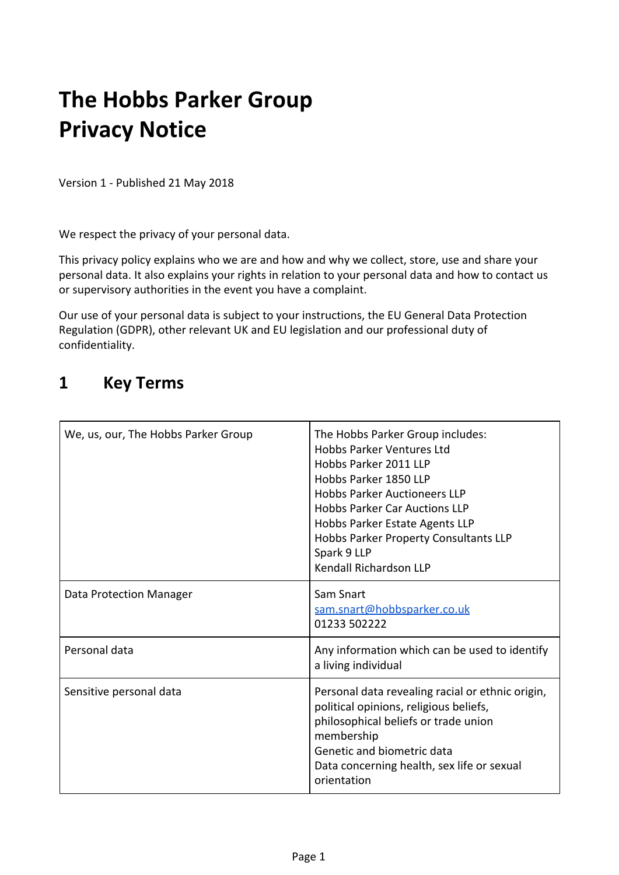# **The Hobbs Parker Group Privacy Notice**

Version 1 - Published 21 May 2018

We respect the privacy of your personal data.

This privacy policy explains who we are and how and why we collect, store, use and share your personal data. It also explains your rights in relation to your personal data and how to contact us or supervisory authorities in the event you have a complaint.

Our use of your personal data is subject to your instructions, the EU General Data Protection Regulation (GDPR), other relevant UK and EU legislation and our professional duty of confidentiality.

## **1 Key Terms**

| We, us, our, The Hobbs Parker Group | The Hobbs Parker Group includes:<br>Hobbs Parker Ventures Ltd<br>Hobbs Parker 2011 LLP<br>Hobbs Parker 1850 LLP<br><b>Hobbs Parker Auctioneers LLP</b><br><b>Hobbs Parker Car Auctions LLP</b><br>Hobbs Parker Estate Agents LLP<br>Hobbs Parker Property Consultants LLP<br>Spark 9 LLP<br>Kendall Richardson LLP |
|-------------------------------------|--------------------------------------------------------------------------------------------------------------------------------------------------------------------------------------------------------------------------------------------------------------------------------------------------------------------|
| Data Protection Manager             | Sam Snart<br>sam.snart@hobbsparker.co.uk<br>01233 502222                                                                                                                                                                                                                                                           |
| Personal data                       | Any information which can be used to identify<br>a living individual                                                                                                                                                                                                                                               |
| Sensitive personal data             | Personal data revealing racial or ethnic origin,<br>political opinions, religious beliefs,<br>philosophical beliefs or trade union<br>membership<br>Genetic and biometric data<br>Data concerning health, sex life or sexual<br>orientation                                                                        |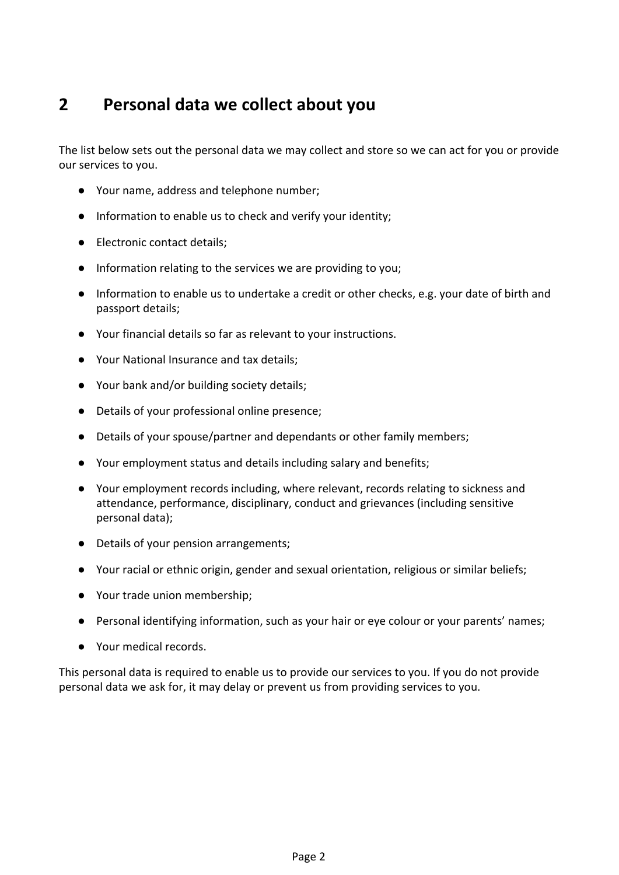# **2 Personal data we collect about you**

The list below sets out the personal data we may collect and store so we can act for you or provide our services to you.

- Your name, address and telephone number;
- Information to enable us to check and verify your identity;
- Electronic contact details;
- Information relating to the services we are providing to you;
- Information to enable us to undertake a credit or other checks, e.g. your date of birth and passport details;
- Your financial details so far as relevant to your instructions.
- Your National Insurance and tax details;
- Your bank and/or building society details;
- Details of your professional online presence;
- Details of your spouse/partner and dependants or other family members;
- Your employment status and details including salary and benefits;
- Your employment records including, where relevant, records relating to sickness and attendance, performance, disciplinary, conduct and grievances (including sensitive personal data);
- Details of your pension arrangements;
- Your racial or ethnic origin, gender and sexual orientation, religious or similar beliefs;
- Your trade union membership;
- Personal identifying information, such as your hair or eye colour or your parents' names;
- Your medical records.

This personal data is required to enable us to provide our services to you. If you do not provide personal data we ask for, it may delay or prevent us from providing services to you.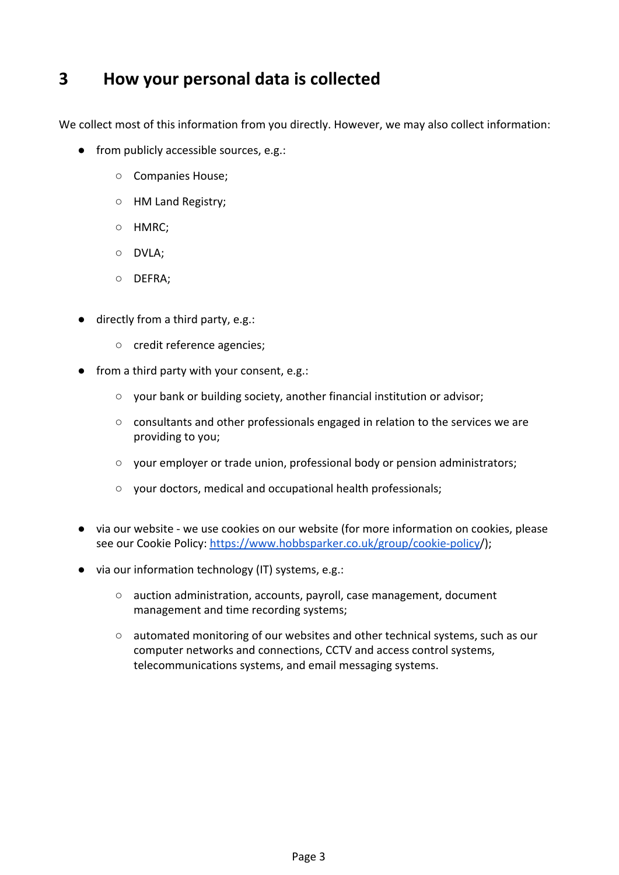# **3 How your personal data is collected**

We collect most of this information from you directly. However, we may also collect information:

- from publicly accessible sources, e.g.:
	- Companies House;
	- HM Land Registry;
	- HMRC;
	- DVLA;
	- DEFRA;
- directly from a third party, e.g.:
	- credit reference agencies;
- from a third party with your consent, e.g.:
	- your bank or building society, another financial institution or advisor;
	- consultants and other professionals engaged in relation to the services we are providing to you;
	- your employer or trade union, professional body or pension administrators;
	- your doctors, medical and occupational health professionals;
- via our website we use cookies on our website (for more information on cookies, please see our Cookie Policy:<https://www.hobbsparker.co.uk/group/cookie-policy>/);
- via our information technology (IT) systems, e.g.:
	- auction administration, accounts, payroll, case management, document management and time recording systems;
	- automated monitoring of our websites and other technical systems, such as our computer networks and connections, CCTV and access control systems, telecommunications systems, and email messaging systems.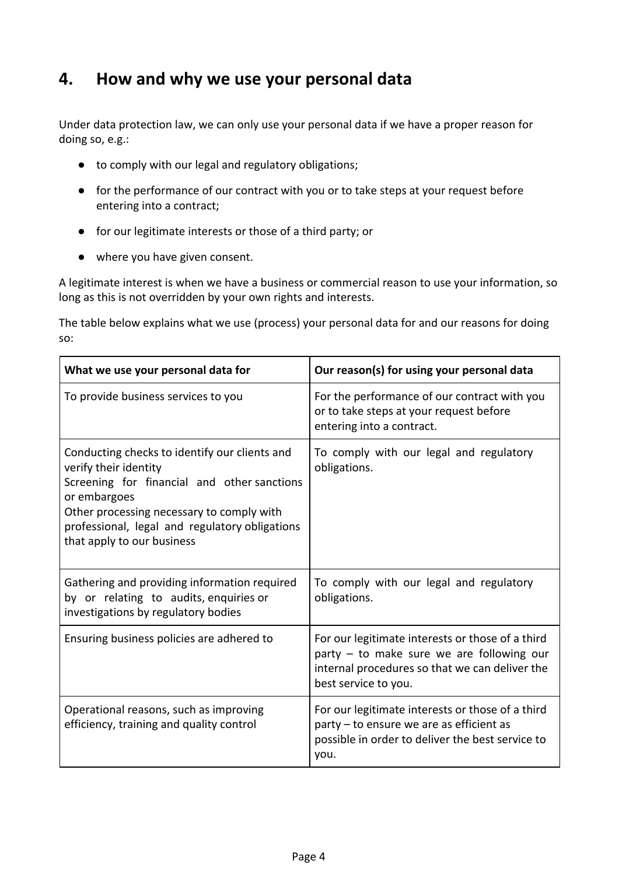# **4. How and why we use your personal data**

Under data protection law, we can only use your personal data if we have a proper reason for doing so, e.g.:

- to comply with our legal and regulatory obligations;
- for the performance of our contract with you or to take steps at your request before entering into a contract;
- for our legitimate interests or those of a third party; or
- where you have given consent.

A legitimate interest is when we have a business or commercial reason to use your information, so long as this is not overridden by your own rights and interests.

The table below explains what we use (process) your personal data for and our reasons for doing so:

| What we use your personal data for                                                                                                                                                                                                                                 | Our reason(s) for using your personal data                                                                                                                              |
|--------------------------------------------------------------------------------------------------------------------------------------------------------------------------------------------------------------------------------------------------------------------|-------------------------------------------------------------------------------------------------------------------------------------------------------------------------|
| To provide business services to you                                                                                                                                                                                                                                | For the performance of our contract with you<br>or to take steps at your request before<br>entering into a contract.                                                    |
| Conducting checks to identify our clients and<br>verify their identity<br>Screening for financial and other sanctions<br>or embargoes<br>Other processing necessary to comply with<br>professional, legal and regulatory obligations<br>that apply to our business | To comply with our legal and regulatory<br>obligations.                                                                                                                 |
| Gathering and providing information required<br>by or relating to audits, enquiries or<br>investigations by regulatory bodies                                                                                                                                      | To comply with our legal and regulatory<br>obligations.                                                                                                                 |
| Ensuring business policies are adhered to                                                                                                                                                                                                                          | For our legitimate interests or those of a third<br>party - to make sure we are following our<br>internal procedures so that we can deliver the<br>best service to you. |
| Operational reasons, such as improving<br>efficiency, training and quality control                                                                                                                                                                                 | For our legitimate interests or those of a third<br>party - to ensure we are as efficient as<br>possible in order to deliver the best service to<br>you.                |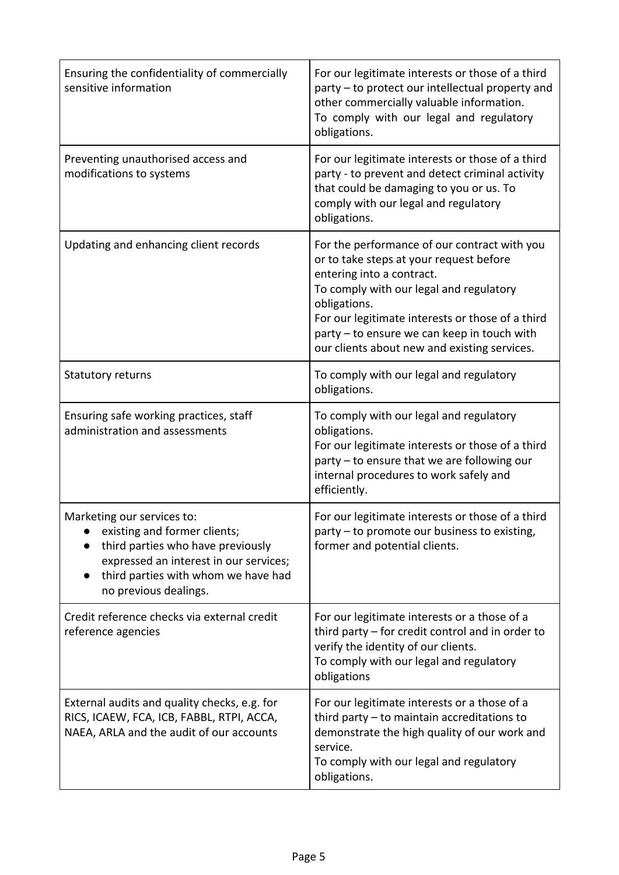| Ensuring the confidentiality of commercially<br>sensitive information                                                                                                                                     | For our legitimate interests or those of a third<br>party – to protect our intellectual property and<br>other commercially valuable information.<br>To comply with our legal and regulatory<br>obligations.                                                                                                                        |
|-----------------------------------------------------------------------------------------------------------------------------------------------------------------------------------------------------------|------------------------------------------------------------------------------------------------------------------------------------------------------------------------------------------------------------------------------------------------------------------------------------------------------------------------------------|
| Preventing unauthorised access and<br>modifications to systems                                                                                                                                            | For our legitimate interests or those of a third<br>party - to prevent and detect criminal activity<br>that could be damaging to you or us. To<br>comply with our legal and regulatory<br>obligations.                                                                                                                             |
| Updating and enhancing client records                                                                                                                                                                     | For the performance of our contract with you<br>or to take steps at your request before<br>entering into a contract.<br>To comply with our legal and regulatory<br>obligations.<br>For our legitimate interests or those of a third<br>party - to ensure we can keep in touch with<br>our clients about new and existing services. |
| Statutory returns                                                                                                                                                                                         | To comply with our legal and regulatory<br>obligations.                                                                                                                                                                                                                                                                            |
| Ensuring safe working practices, staff<br>administration and assessments                                                                                                                                  | To comply with our legal and regulatory<br>obligations.<br>For our legitimate interests or those of a third<br>party - to ensure that we are following our<br>internal procedures to work safely and<br>efficiently.                                                                                                               |
| Marketing our services to:<br>existing and former clients;<br>third parties who have previously<br>expressed an interest in our services;<br>third parties with whom we have had<br>no previous dealings. | For our legitimate interests or those of a third<br>party - to promote our business to existing,<br>former and potential clients.                                                                                                                                                                                                  |
| Credit reference checks via external credit<br>reference agencies                                                                                                                                         | For our legitimate interests or a those of a<br>third party – for credit control and in order to<br>verify the identity of our clients.<br>To comply with our legal and regulatory<br>obligations                                                                                                                                  |
| External audits and quality checks, e.g. for<br>RICS, ICAEW, FCA, ICB, FABBL, RTPI, ACCA,<br>NAEA, ARLA and the audit of our accounts                                                                     | For our legitimate interests or a those of a<br>third party $-$ to maintain accreditations to<br>demonstrate the high quality of our work and<br>service.<br>To comply with our legal and regulatory<br>obligations.                                                                                                               |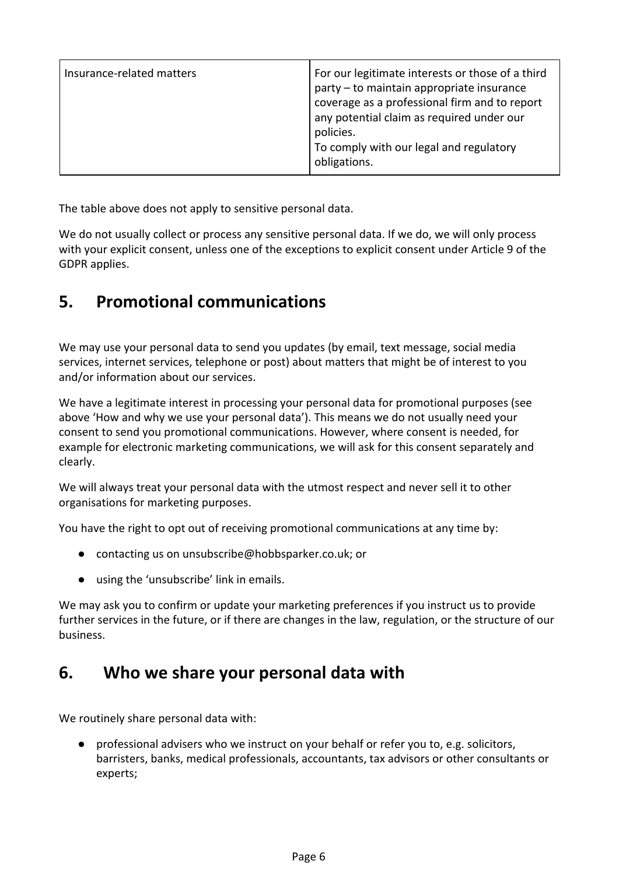| Insurance-related matters | For our legitimate interests or those of a third<br>party - to maintain appropriate insurance<br>coverage as a professional firm and to report<br>any potential claim as required under our<br>policies.<br>To comply with our legal and regulatory<br>obligations. |
|---------------------------|---------------------------------------------------------------------------------------------------------------------------------------------------------------------------------------------------------------------------------------------------------------------|
|---------------------------|---------------------------------------------------------------------------------------------------------------------------------------------------------------------------------------------------------------------------------------------------------------------|

The table above does not apply to sensitive personal data.

We do not usually collect or process any sensitive personal data. If we do, we will only process with your explicit consent, unless one of the exceptions to explicit consent under Article 9 of the GDPR applies.

# **5. Promotional communications**

We may use your personal data to send you updates (by email, text message, social media services, internet services, telephone or post) about matters that might be of interest to you and/or information about our services.

We have a legitimate interest in processing your personal data for promotional purposes (see above 'How and why we use your personal data'). This means we do not usually need your consent to send you promotional communications. However, where consent is needed, for example for electronic marketing communications, we will ask for this consent separately and clearly.

We will always treat your personal data with the utmost respect and never sell it to other organisations for marketing purposes.

You have the right to opt out of receiving promotional communications at any time by:

- contacting us on unsubscribe@hobbsparker.co.uk; or
- using the 'unsubscribe' link in emails.

We may ask you to confirm or update your marketing preferences if you instruct us to provide further services in the future, or if there are changes in the law, regulation, or the structure of our business.

## **6. Who we share your personal data with**

We routinely share personal data with:

● professional advisers who we instruct on your behalf or refer you to, e.g. solicitors, barristers, banks, medical professionals, accountants, tax advisors or other consultants or experts;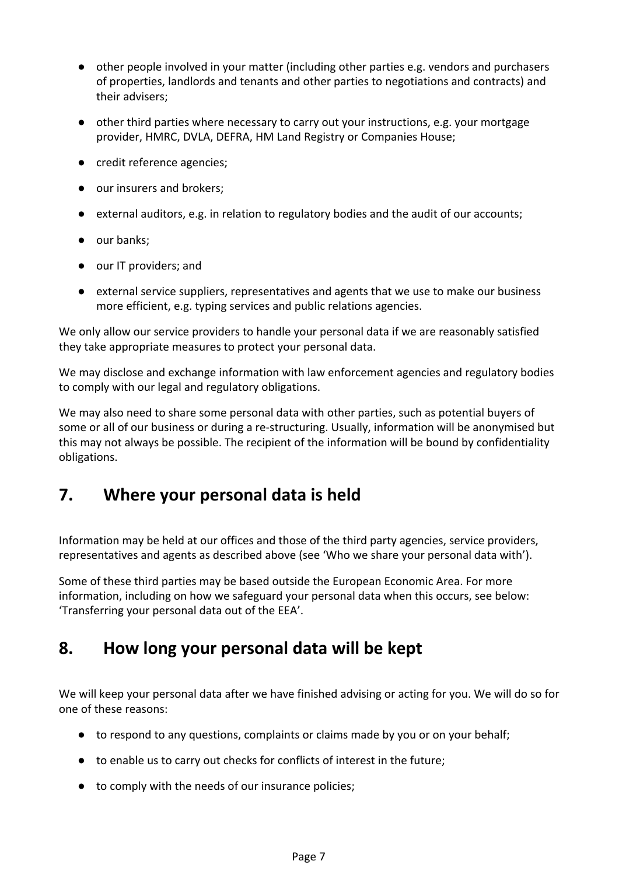- other people involved in your matter (including other parties e.g. vendors and purchasers of properties, landlords and tenants and other parties to negotiations and contracts) and their advisers;
- other third parties where necessary to carry out your instructions, e.g. your mortgage provider, HMRC, DVLA, DEFRA, HM Land Registry or Companies House;
- credit reference agencies;
- our insurers and brokers;
- external auditors, e.g. in relation to regulatory bodies and the audit of our accounts;
- our banks;
- our IT providers; and
- external service suppliers, representatives and agents that we use to make our business more efficient, e.g. typing services and public relations agencies.

We only allow our service providers to handle your personal data if we are reasonably satisfied they take appropriate measures to protect your personal data.

We may disclose and exchange information with law enforcement agencies and regulatory bodies to comply with our legal and regulatory obligations.

We may also need to share some personal data with other parties, such as potential buyers of some or all of our business or during a re-structuring. Usually, information will be anonymised but this may not always be possible. The recipient of the information will be bound by confidentiality obligations.

## **7. Where your personal data is held**

Information may be held at our offices and those of the third party agencies, service providers, representatives and agents as described above (see 'Who we share your personal data with').

Some of these third parties may be based outside the European Economic Area. For more information, including on how we safeguard your personal data when this occurs, see below: 'Transferring your personal data out of the EEA'.

#### **8. How long your personal data will be kept**

We will keep your personal data after we have finished advising or acting for you. We will do so for one of these reasons:

- to respond to any questions, complaints or claims made by you or on your behalf;
- to enable us to carry out checks for conflicts of interest in the future;
- to comply with the needs of our insurance policies;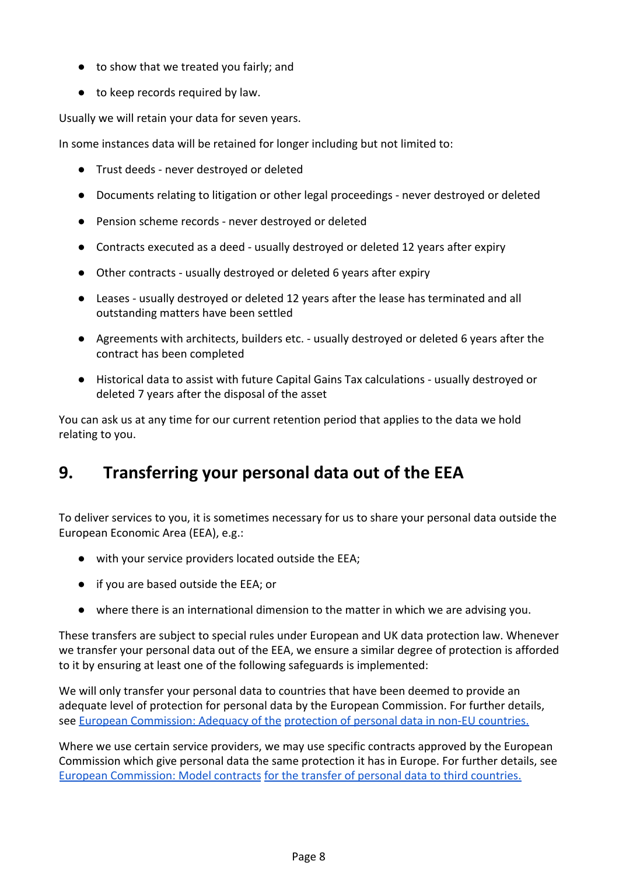- to show that we treated you fairly; and
- to keep records required by law.

Usually we will retain your data for seven years.

In some instances data will be retained for longer including but not limited to:

- Trust deeds never destroyed or deleted
- Documents relating to litigation or other legal proceedings never destroyed or deleted
- Pension scheme records never destroyed or deleted
- Contracts executed as a deed usually destroyed or deleted 12 years after expiry
- Other contracts usually destroyed or deleted 6 years after expiry
- Leases usually destroyed or deleted 12 years after the lease has terminated and all outstanding matters have been settled
- Agreements with architects, builders etc. usually destroyed or deleted 6 years after the contract has been completed
- Historical data to assist with future Capital Gains Tax calculations usually destroyed or deleted 7 years after the disposal of the asset

You can ask us at any time for our current retention period that applies to the data we hold relating to you.

# **9. Transferring your personal data out of the EEA**

To deliver services to you, it is sometimes necessary for us to share your personal data outside the European Economic Area (EEA), e.g.:

- with your service providers located outside the EEA;
- if you are based outside the EEA; or
- where there is an international dimension to the matter in which we are advising you.

These transfers are subject to special rules under European and UK data protection law. Whenever we transfer your personal data out of the EEA, we ensure a similar degree of protection is afforded to it by ensuring at least one of the following safeguards is implemented:

We will only transfer your personal data to countries that have been deemed to provide an adequate level of protection for personal data by the European Commission. For further details, see [European Commission: Adequacy of the](https://ec.europa.eu/info/law/law-topic/data-protection/data-transfers-outside-eu/adequacy-protection-personal-data-non-eu-countries_en#dataprotectionincountriesoutsidetheeu) [protection of personal data in non-EU countries.](https://ec.europa.eu/info/law/law-topic/data-protection/data-transfers-outside-eu/adequacy-protection-personal-data-non-eu-countries_en#dataprotectionincountriesoutsidetheeu)

Where we use certain service providers, we may use specific contracts approved by the European Commission which give personal data the same protection it has in Europe. For further details, see [European Commission: Model contracts](https://ec.europa.eu/info/law/law-topic/data-protection/data-transfers-outside-eu/model-contracts-transfer-personal-data-third-countries_en) [for the transfer of personal data to third countries.](https://ec.europa.eu/info/law/law-topic/data-protection/data-transfers-outside-eu/model-contracts-transfer-personal-data-third-countries_en)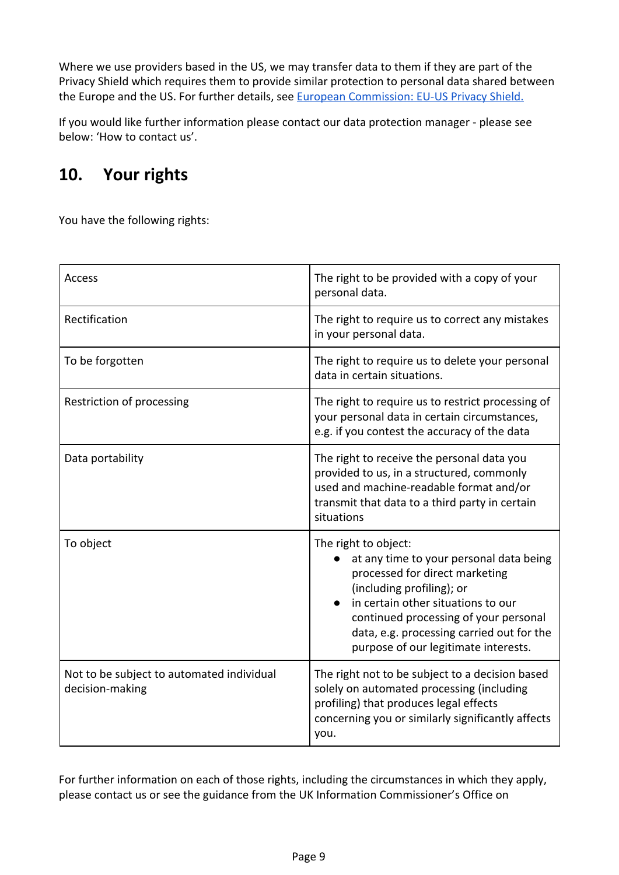Where we use providers based in the US, we may transfer data to them if they are part of the Privacy Shield which requires them to provide similar protection to personal data shared between the Europe and the US. For further details, see **[European Commission: EU-US Privacy Shield.](https://ec.europa.eu/info/law/law-topic/data-protection/data-transfers-outside-eu/eu-us-privacy-shield_en)** 

If you would like further information please contact our data protection manager - please see below: 'How to contact us'.

# **10. Your rights**

You have the following rights:

| <b>Access</b>                                                | The right to be provided with a copy of your<br>personal data.                                                                                                                                                                                                                                     |
|--------------------------------------------------------------|----------------------------------------------------------------------------------------------------------------------------------------------------------------------------------------------------------------------------------------------------------------------------------------------------|
| Rectification                                                | The right to require us to correct any mistakes<br>in your personal data.                                                                                                                                                                                                                          |
| To be forgotten                                              | The right to require us to delete your personal<br>data in certain situations.                                                                                                                                                                                                                     |
| Restriction of processing                                    | The right to require us to restrict processing of<br>your personal data in certain circumstances,<br>e.g. if you contest the accuracy of the data                                                                                                                                                  |
| Data portability                                             | The right to receive the personal data you<br>provided to us, in a structured, commonly<br>used and machine-readable format and/or<br>transmit that data to a third party in certain<br>situations                                                                                                 |
| To object                                                    | The right to object:<br>at any time to your personal data being<br>processed for direct marketing<br>(including profiling); or<br>in certain other situations to our<br>continued processing of your personal<br>data, e.g. processing carried out for the<br>purpose of our legitimate interests. |
| Not to be subject to automated individual<br>decision-making | The right not to be subject to a decision based<br>solely on automated processing (including<br>profiling) that produces legal effects<br>concerning you or similarly significantly affects<br>you.                                                                                                |

For further information on each of those rights, including the circumstances in which they apply, please contact us or see the guidance from the UK Information Commissioner's Office on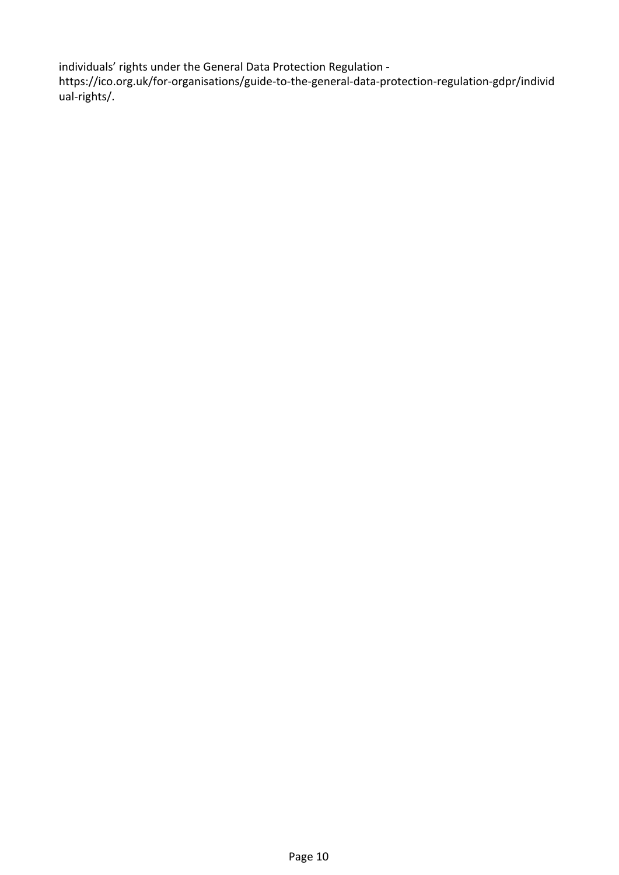individuals' rights under the General Data Protection Regulation -

https://ico.org.uk/for-organisations/guide-to-the-general-data-protection-regulation-gdpr/individ ual-rights/.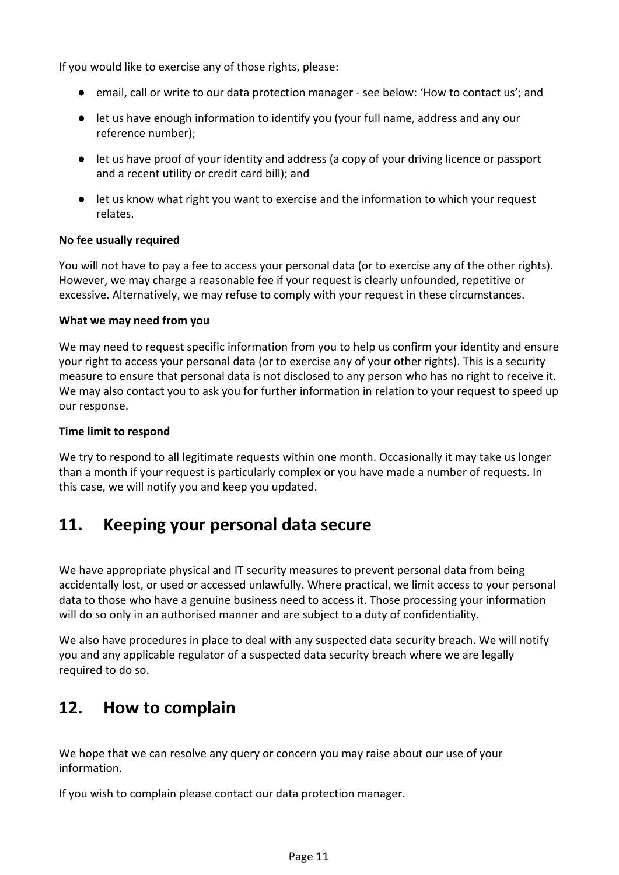If you would like to exercise any of those rights, please:

- email, call or write to our data protection manager see below: 'How to contact us'; and
- let us have enough information to identify you (your full name, address and any our reference number);
- let us have proof of your identity and address (a copy of your driving licence or passport and a recent utility or credit card bill); and
- let us know what right you want to exercise and the information to which your request relates.

#### **No fee usually required**

You will not have to pay a fee to access your personal data (or to exercise any of the other rights). However, we may charge a reasonable fee if your request is clearly unfounded, repetitive or excessive. Alternatively, we may refuse to comply with your request in these circumstances.

#### **What we may need from you**

We may need to request specific information from you to help us confirm your identity and ensure your right to access your personal data (or to exercise any of your other rights). This is a security measure to ensure that personal data is not disclosed to any person who has no right to receive it. We may also contact you to ask you for further information in relation to your request to speed up our response.

#### **Time limit to respond**

We try to respond to all legitimate requests within one month. Occasionally it may take us longer than a month if your request is particularly complex or you have made a number of requests. In this case, we will notify you and keep you updated.

## **11. Keeping your personal data secure**

We have appropriate physical and IT security measures to prevent personal data from being accidentally lost, or used or accessed unlawfully. Where practical, we limit access to your personal data to those who have a genuine business need to access it. Those processing your information will do so only in an authorised manner and are subject to a duty of confidentiality.

We also have procedures in place to deal with any suspected data security breach. We will notify you and any applicable regulator of a suspected data security breach where we are legally required to do so.

## **12. How to complain**

We hope that we can resolve any query or concern you may raise about our use of your information.

If you wish to complain please contact our data protection manager.